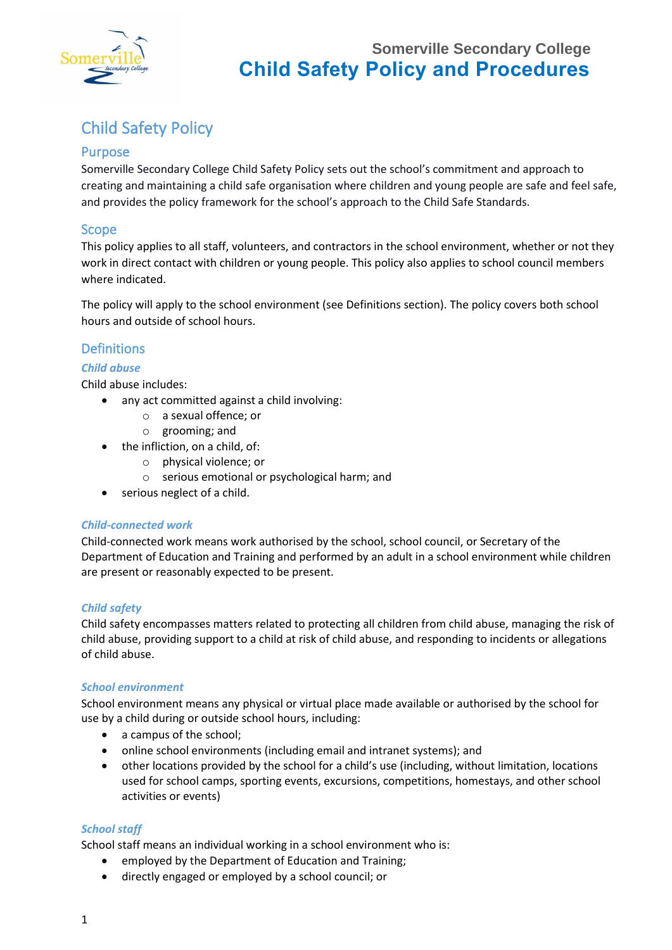

# Child Safety Policy

### Purpose

Somerville Secondary College Child Safety Policy sets out the school's commitment and approach to creating and maintaining a child safe organisation where children and young people are safe and feel safe, and provides the policy framework for the school's approach to the Child Safe Standards.

#### Scope

This policy applies to all staff, volunteers, and contractors in the school environment, whether or not they work in direct contact with children or young people. This policy also applies to school council members where indicated.

The policy will apply to the school environment (see Definitions section). The policy covers both school hours and outside of school hours.

### Definitions

#### *Child abuse*

Child abuse includes:

- any act committed against a child involving:
	- o a sexual offence; or
	- o grooming; and
- the infliction, on a child, of:
	- o physical violence; or
	- o serious emotional or psychological harm; and
- serious neglect of a child.

#### *Child-connected work*

Child-connected work means work authorised by the school, school council, or Secretary of the Department of Education and Training and performed by an adult in a school environment while children are present or reasonably expected to be present.

#### *Child safety*

Child safety encompasses matters related to protecting all children from child abuse, managing the risk of child abuse, providing support to a child at risk of child abuse, and responding to incidents or allegations of child abuse.

#### *School environment*

School environment means any physical or virtual place made available or authorised by the school for use by a child during or outside school hours, including:

- a campus of the school;
- online school environments (including email and intranet systems); and
- other locations provided by the school for a child's use (including, without limitation, locations used for school camps, sporting events, excursions, competitions, homestays, and other school activities or events)

#### *School staff*

School staff means an individual working in a school environment who is:

- employed by the Department of Education and Training;
- directly engaged or employed by a school council; or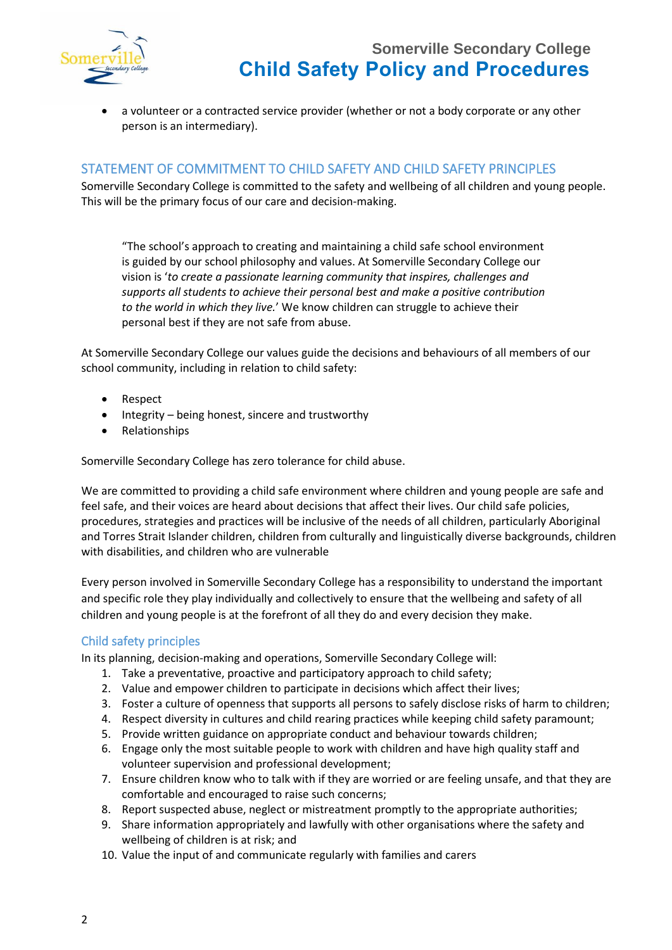

• a volunteer or a contracted service provider (whether or not a body corporate or any other person is an intermediary).

### STATEMENT OF COMMITMENT TO CHILD SAFETY AND CHILD SAFETY PRINCIPLES

Somerville Secondary College is committed to the safety and wellbeing of all children and young people. This will be the primary focus of our care and decision-making.

"The school's approach to creating and maintaining a child safe school environment is guided by our school philosophy and values. At Somerville Secondary College our vision is '*to create a passionate learning community that inspires, challenges and supports all students to achieve their personal best and make a positive contribution to the world in which they live.*' We know children can struggle to achieve their personal best if they are not safe from abuse.

At Somerville Secondary College our values guide the decisions and behaviours of all members of our school community, including in relation to child safety:

- Respect
- Integrity being honest, sincere and trustworthy
- Relationships

Somerville Secondary College has zero tolerance for child abuse.

We are committed to providing a child safe environment where children and young people are safe and feel safe, and their voices are heard about decisions that affect their lives. Our child safe policies, procedures, strategies and practices will be inclusive of the needs of all children, particularly Aboriginal and Torres Strait Islander children, children from culturally and linguistically diverse backgrounds, children with disabilities, and children who are vulnerable

Every person involved in Somerville Secondary College has a responsibility to understand the important and specific role they play individually and collectively to ensure that the wellbeing and safety of all children and young people is at the forefront of all they do and every decision they make.

#### Child safety principles

In its planning, decision-making and operations, Somerville Secondary College will:

- 1. Take a preventative, proactive and participatory approach to child safety;
- 2. Value and empower children to participate in decisions which affect their lives;
- 3. Foster a culture of openness that supports all persons to safely disclose risks of harm to children;
- 4. Respect diversity in cultures and child rearing practices while keeping child safety paramount;
- 5. Provide written guidance on appropriate conduct and behaviour towards children;
- 6. Engage only the most suitable people to work with children and have high quality staff and volunteer supervision and professional development;
- 7. Ensure children know who to talk with if they are worried or are feeling unsafe, and that they are comfortable and encouraged to raise such concerns;
- 8. Report suspected abuse, neglect or mistreatment promptly to the appropriate authorities;
- 9. Share information appropriately and lawfully with other organisations where the safety and wellbeing of children is at risk; and
- 10. Value the input of and communicate regularly with families and carers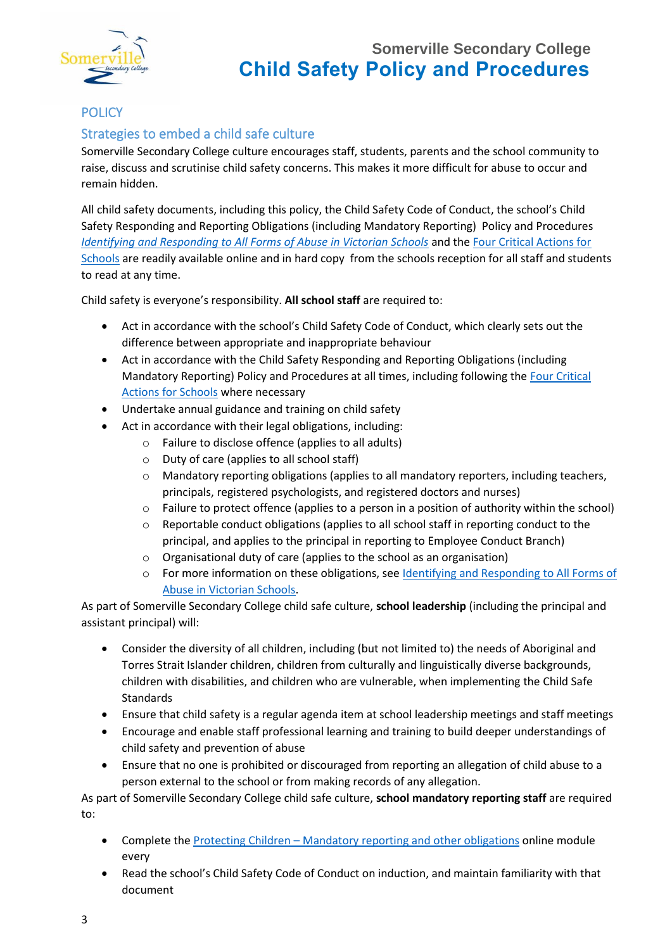

## **POLICY**

### Strategies to embed a child safe culture

Somerville Secondary College culture encourages staff, students, parents and the school community to raise, discuss and scrutinise child safety concerns. This makes it more difficult for abuse to occur and remain hidden.

All child safety documents, including this policy, the Child Safety Code of Conduct, the school's Child Safety Responding and Reporting Obligations (including Mandatory Reporting) Policy and Procedures *[Identifying and Responding to All Forms of Abuse in Victorian Schools](https://www.education.vic.gov.au/Documents/about/programs/health/protect/ChildSafeStandard5_SchoolsGuide.pdf)* and the [Four Critical Actions for](https://www.education.vic.gov.au/Documents/about/programs/health/protect/FourCriticalActions_ChildAbuse.pdf)  [Schools](https://www.education.vic.gov.au/Documents/about/programs/health/protect/FourCriticalActions_ChildAbuse.pdf) are readily available online and in hard copy from the schools reception for all staff and students to read at any time.

Child safety is everyone's responsibility. **All school staff** are required to:

- Act in accordance with the school's Child Safety Code of Conduct, which clearly sets out the difference between appropriate and inappropriate behaviour
- Act in accordance with the Child Safety Responding and Reporting Obligations (including Mandatory Reporting) Policy and Procedures at all times, including following th[e Four Critical](https://www.education.vic.gov.au/Documents/about/programs/health/protect/FourCriticalActions_ChildAbuse.pdf)  [Actions for Schools](https://www.education.vic.gov.au/Documents/about/programs/health/protect/FourCriticalActions_ChildAbuse.pdf) where necessary
- Undertake annual guidance and training on child safety
- Act in accordance with their legal obligations, including:
	- o Failure to disclose offence (applies to all adults)
	- o Duty of care (applies to all school staff)
	- o Mandatory reporting obligations (applies to all mandatory reporters, including teachers, principals, registered psychologists, and registered doctors and nurses)
	- o Failure to protect offence (applies to a person in a position of authority within the school)
	- Reportable conduct obligations (applies to all school staff in reporting conduct to the principal, and applies to the principal in reporting to Employee Conduct Branch)
	- o Organisational duty of care (applies to the school as an organisation)
	- o For more information on these obligations, se[e Identifying and Responding to All Forms of](https://www.education.vic.gov.au/Documents/about/programs/health/protect/ChildSafeStandard5_SchoolsGuide.pdf)  [Abuse in Victorian Schools.](https://www.education.vic.gov.au/Documents/about/programs/health/protect/ChildSafeStandard5_SchoolsGuide.pdf)

As part of Somerville Secondary College child safe culture, **school leadership** (including the principal and assistant principal) will:

- Consider the diversity of all children, including (but not limited to) the needs of Aboriginal and Torres Strait Islander children, children from culturally and linguistically diverse backgrounds, children with disabilities, and children who are vulnerable, when implementing the Child Safe Standards
- Ensure that child safety is a regular agenda item at school leadership meetings and staff meetings
- Encourage and enable staff professional learning and training to build deeper understandings of child safety and prevention of abuse
- Ensure that no one is prohibited or discouraged from reporting an allegation of child abuse to a person external to the school or from making records of any allegation.

As part of Somerville Secondary College child safe culture, **school mandatory reporting staff** are required to:

- Complete the Protecting Children [Mandatory reporting and other obligations](http://elearn.com.au/det/protectingchildren/) online module every
- Read the school's Child Safety Code of Conduct on induction, and maintain familiarity with that document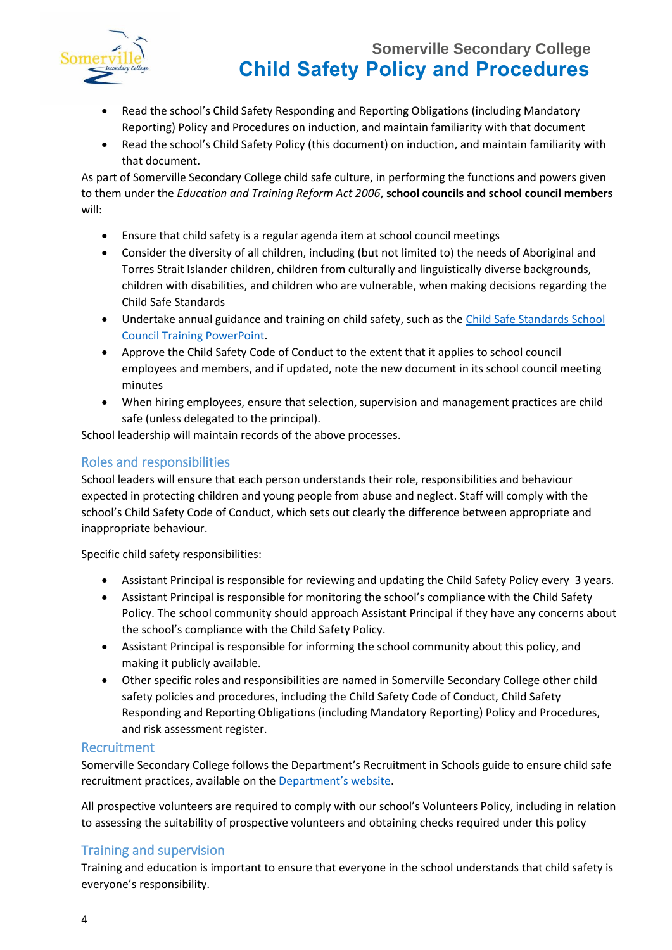



- Read the school's Child Safety Responding and Reporting Obligations (including Mandatory Reporting) Policy and Procedures on induction, and maintain familiarity with that document
- Read the school's Child Safety Policy (this document) on induction, and maintain familiarity with that document.

As part of Somerville Secondary College child safe culture, in performing the functions and powers given to them under the *Education and Training Reform Act 2006*, **school councils and school council members** will:

- Ensure that child safety is a regular agenda item at school council meetings
- Consider the diversity of all children, including (but not limited to) the needs of Aboriginal and Torres Strait Islander children, children from culturally and linguistically diverse backgrounds, children with disabilities, and children who are vulnerable, when making decisions regarding the Child Safe Standards
- Undertake annual guidance and training on child safety, such as th[e Child Safe Standards School](https://www.education.vic.gov.au/Documents/about/programs/health/protect/school-council-training.pptx)  [Council Training PowerPoint.](https://www.education.vic.gov.au/Documents/about/programs/health/protect/school-council-training.pptx)
- Approve the Child Safety Code of Conduct to the extent that it applies to school council employees and members, and if updated, note the new document in its school council meeting minutes
- When hiring employees, ensure that selection, supervision and management practices are child safe (unless delegated to the principal).

School leadership will maintain records of the above processes.

### Roles and responsibilities

School leaders will ensure that each person understands their role, responsibilities and behaviour expected in protecting children and young people from abuse and neglect. Staff will comply with the school's Child Safety Code of Conduct, which sets out clearly the difference between appropriate and inappropriate behaviour.

Specific child safety responsibilities:

- Assistant Principal is responsible for reviewing and updating the Child Safety Policy every 3 years.
- Assistant Principal is responsible for monitoring the school's compliance with the Child Safety Policy. The school community should approach Assistant Principal if they have any concerns about the school's compliance with the Child Safety Policy.
- Assistant Principal is responsible for informing the school community about this policy, and making it publicly available.
- Other specific roles and responsibilities are named in Somerville Secondary College other child safety policies and procedures, including the Child Safety Code of Conduct, Child Safety Responding and Reporting Obligations (including Mandatory Reporting) Policy and Procedures, and risk assessment register.

#### Recruitment

Somerville Secondary College follows the Department's Recruitment in Schools guide to ensure child safe recruitment practices, available on the [Department's website](https://www.education.vic.gov.au/hrweb/careers/Pages/recruitinsch.aspx).

All prospective volunteers are required to comply with our school's Volunteers Policy, including in relation to assessing the suitability of prospective volunteers and obtaining checks required under this policy

### Training and supervision

Training and education is important to ensure that everyone in the school understands that child safety is everyone's responsibility.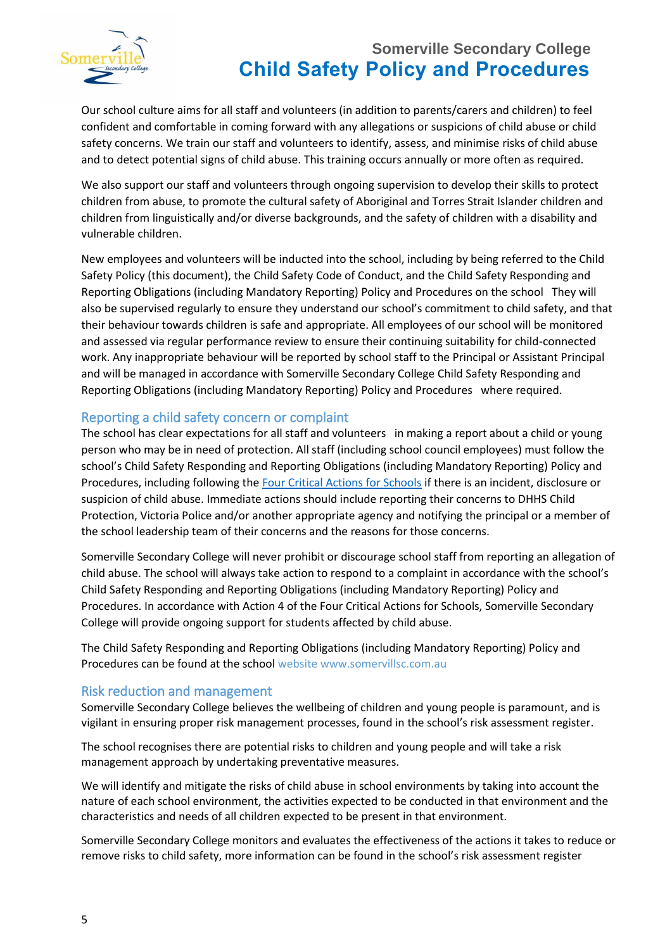

Our school culture aims for all staff and volunteers (in addition to parents/carers and children) to feel confident and comfortable in coming forward with any allegations or suspicions of child abuse or child safety concerns. We train our staff and volunteers to identify, assess, and minimise risks of child abuse and to detect potential signs of child abuse. This training occurs annually or more often as required.

We also support our staff and volunteers through ongoing supervision to develop their skills to protect children from abuse, to promote the cultural safety of Aboriginal and Torres Strait Islander children and children from linguistically and/or diverse backgrounds, and the safety of children with a disability and vulnerable children.

New employees and volunteers will be inducted into the school, including by being referred to the Child Safety Policy (this document), the Child Safety Code of Conduct, and the Child Safety Responding and Reporting Obligations (including Mandatory Reporting) Policy and Procedures on the school They will also be supervised regularly to ensure they understand our school's commitment to child safety, and that their behaviour towards children is safe and appropriate. All employees of our school will be monitored and assessed via regular performance review to ensure their continuing suitability for child-connected work. Any inappropriate behaviour will be reported by school staff to the Principal or Assistant Principal and will be managed in accordance with Somerville Secondary College Child Safety Responding and Reporting Obligations (including Mandatory Reporting) Policy and Procedures where required.

#### Reporting a child safety concern or complaint

The school has clear expectations for all staff and volunteers in making a report about a child or young person who may be in need of protection. All staff (including school council employees) must follow the school's Child Safety Responding and Reporting Obligations (including Mandatory Reporting) Policy and Procedures, including following the [Four Critical Actions for Schools](https://www.education.vic.gov.au/Documents/about/programs/health/protect/FourCriticalActions_ChildAbuse.pdf) if there is an incident, disclosure or suspicion of child abuse. Immediate actions should include reporting their concerns to DHHS Child Protection, Victoria Police and/or another appropriate agency and notifying the principal or a member of the school leadership team of their concerns and the reasons for those concerns.

Somerville Secondary College will never prohibit or discourage school staff from reporting an allegation of child abuse. The school will always take action to respond to a complaint in accordance with the school's Child Safety Responding and Reporting Obligations (including Mandatory Reporting) Policy and Procedures. In accordance with Action 4 of the Four Critical Actions for Schools, Somerville Secondary College will provide ongoing support for students affected by child abuse.

The Child Safety Responding and Reporting Obligations (including Mandatory Reporting) Policy and Procedures can be found at the school website www.somervillsc.com.au

#### Risk reduction and management

Somerville Secondary College believes the wellbeing of children and young people is paramount, and is vigilant in ensuring proper risk management processes, found in the school's risk assessment register.

The school recognises there are potential risks to children and young people and will take a risk management approach by undertaking preventative measures.

We will identify and mitigate the risks of child abuse in school environments by taking into account the nature of each school environment, the activities expected to be conducted in that environment and the characteristics and needs of all children expected to be present in that environment.

Somerville Secondary College monitors and evaluates the effectiveness of the actions it takes to reduce or remove risks to child safety, more information can be found in the school's risk assessment register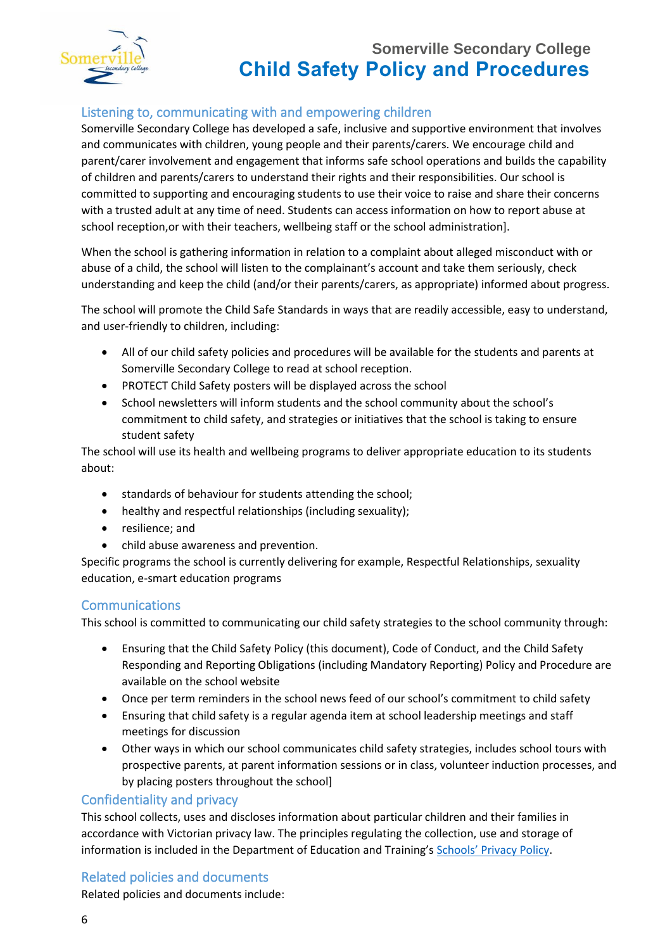

### Listening to, communicating with and empowering children

Somerville Secondary College has developed a safe, inclusive and supportive environment that involves and communicates with children, young people and their parents/carers. We encourage child and parent/carer involvement and engagement that informs safe school operations and builds the capability of children and parents/carers to understand their rights and their responsibilities. Our school is committed to supporting and encouraging students to use their voice to raise and share their concerns with a trusted adult at any time of need. Students can access information on how to report abuse at school reception,or with their teachers, wellbeing staff or the school administration].

When the school is gathering information in relation to a complaint about alleged misconduct with or abuse of a child, the school will listen to the complainant's account and take them seriously, check understanding and keep the child (and/or their parents/carers, as appropriate) informed about progress.

The school will promote the Child Safe Standards in ways that are readily accessible, easy to understand, and user-friendly to children, including:

- All of our child safety policies and procedures will be available for the students and parents at Somerville Secondary College to read at school reception.
- PROTECT Child Safety posters will be displayed across the school
- School newsletters will inform students and the school community about the school's commitment to child safety, and strategies or initiatives that the school is taking to ensure student safety

The school will use its health and wellbeing programs to deliver appropriate education to its students about:

- standards of behaviour for students attending the school;
- healthy and respectful relationships (including sexuality);
- resilience; and
- child abuse awareness and prevention.

Specific programs the school is currently delivering for example, Respectful Relationships, sexuality education, e-smart education programs

#### Communications

This school is committed to communicating our child safety strategies to the school community through:

- Ensuring that the Child Safety Policy (this document), Code of Conduct, and the Child Safety Responding and Reporting Obligations (including Mandatory Reporting) Policy and Procedure are available on the school website
- Once per term reminders in the school news feed of our school's commitment to child safety
- Ensuring that child safety is a regular agenda item at school leadership meetings and staff meetings for discussion
- Other ways in which our school communicates child safety strategies, includes school tours with prospective parents, at parent information sessions or in class, volunteer induction processes, and by placing posters throughout the school]

#### Confidentiality and privacy

This school collects, uses and discloses information about particular children and their families in accordance with Victorian privacy law. The principles regulating the collection, use and storage of information is included in the Department of Education and Training's [Schools' Privacy Policy](https://www.education.vic.gov.au/Pages/schoolsprivacypolicy.aspx).

#### Related policies and documents

Related policies and documents include: